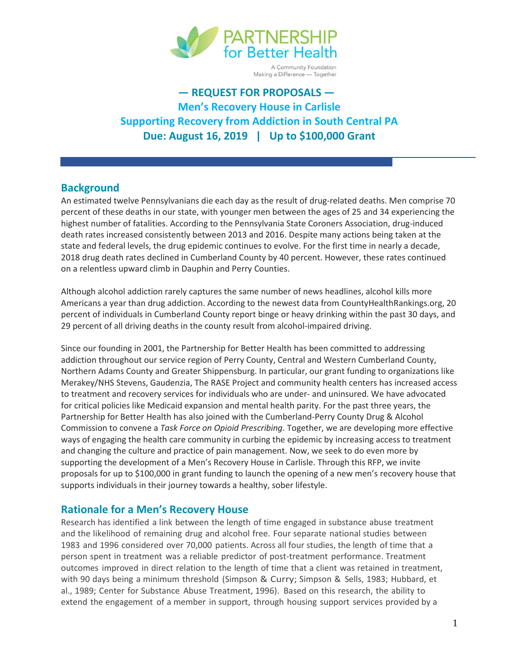

A Community Foundation Making a Difference - Together

# **— REQUEST FOR PROPOSALS — Men's Recovery House in Carlisle Supporting Recovery from Addiction in South Central PA Due: August 16, 2019 | Up to \$100,000 Grant**

### **Background**

An estimated twelve Pennsylvanians die each day as the result of drug-related deaths. Men comprise 70 percent of these deaths in our state, with younger men between the ages of 25 and 34 experiencing the highest number of fatalities. According to the Pennsylvania State Coroners Association, drug-induced death rates increased consistently between 2013 and 2016. Despite many actions being taken at the state and federal levels, the drug epidemic continues to evolve. For the first time in nearly a decade, 2018 drug death rates declined in Cumberland County by 40 percent. However, these rates continued on a relentless upward climb in Dauphin and Perry Counties.

Although alcohol addiction rarely captures the same number of news headlines, alcohol kills more Americans a year than drug addiction. According to the newest data from CountyHealthRankings.org, 20 percent of individuals in Cumberland County report binge or heavy drinking within the past 30 days, and 29 percent of all driving deaths in the county result from alcohol-impaired driving.

Since our founding in 2001, the Partnership for Better Health has been committed to addressing addiction throughout our service region of Perry County, Central and Western Cumberland County, Northern Adams County and Greater Shippensburg. In particular, our grant funding to organizations like Merakey/NHS Stevens, Gaudenzia, The RASE Project and community health centers has increased access to treatment and recovery services for individuals who are under- and uninsured. We have advocated for critical policies like Medicaid expansion and mental health parity. For the past three years, the Partnership for Better Health has also joined with the Cumberland-Perry County Drug & Alcohol Commission to convene a *Task Force on Opioid Prescribing*. Together, we are developing more effective ways of engaging the health care community in curbing the epidemic by increasing access to treatment and changing the culture and practice of pain management. Now, we seek to do even more by supporting the development of a Men's Recovery House in Carlisle. Through this RFP, we invite proposals for up to \$100,000 in grant funding to launch the opening of a new men's recovery house that supports individuals in their journey towards a healthy, sober lifestyle.

### **Rationale for a Men's Recovery House**

Research has identified a link between the length of time engaged in substance abuse treatment and the likelihood of remaining drug and alcohol free. Four separate national studies between 1983 and 1996 considered over 70,000 patients. Across all four studies, the length of time that a person spent in treatment was a reliable predictor of post-treatment performance. Treatment outcomes improved in direct relation to the length of time that a client was retained in treatment, with 90 days being a minimum threshold (Simpson & Curry; Simpson & Sells, 1983; Hubbard, et al., 1989; Center for Substance Abuse Treatment, 1996). Based on this research, the ability to extend the engagement of a member in support, through housing support services provided by a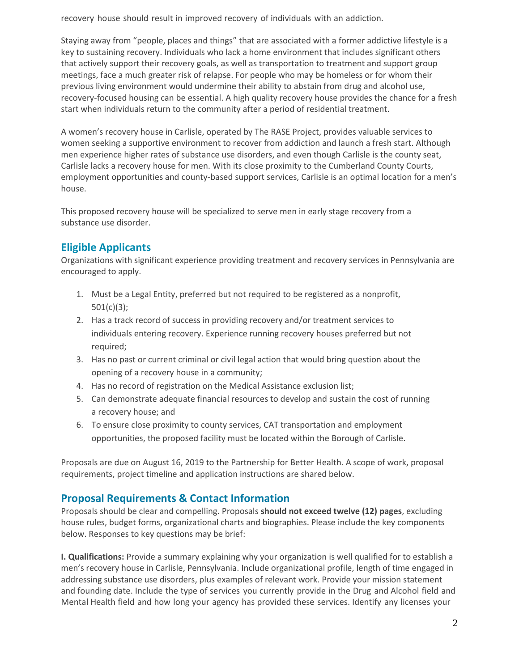recovery house should result in improved recovery of individuals with an addiction.

Staying away from "people, places and things" that are associated with a former addictive lifestyle is a key to sustaining recovery. Individuals who lack a home environment that includes significant others that actively support their recovery goals, as well as transportation to treatment and support group meetings, face a much greater risk of relapse. For people who may be homeless or for whom their previous living environment would undermine their ability to abstain from drug and alcohol use, recovery-focused housing can be essential. A high quality recovery house provides the chance for a fresh start when individuals return to the community after a period of residential treatment.

A women's recovery house in Carlisle, operated by The RASE Project, provides valuable services to women seeking a supportive environment to recover from addiction and launch a fresh start. Although men experience higher rates of substance use disorders, and even though Carlisle is the county seat, Carlisle lacks a recovery house for men. With its close proximity to the Cumberland County Courts, employment opportunities and county-based support services, Carlisle is an optimal location for a men's house.

This proposed recovery house will be specialized to serve men in early stage recovery from a substance use disorder.

# **Eligible Applicants**

Organizations with significant experience providing treatment and recovery services in Pennsylvania are encouraged to apply.

- 1. Must be a Legal Entity, preferred but not required to be registered as a nonprofit, 501(c)(3);
- 2. Has a track record of success in providing recovery and/or treatment services to individuals entering recovery. Experience running recovery houses preferred but not required;
- 3. Has no past or current criminal or civil legal action that would bring question about the opening of a recovery house in a community;
- 4. Has no record of registration on the Medical Assistance exclusion list;
- 5. Can demonstrate adequate financial resources to develop and sustain the cost of running a recovery house; and
- 6. To ensure close proximity to county services, CAT transportation and employment opportunities, the proposed facility must be located within the Borough of Carlisle.

Proposals are due on August 16, 2019 to the Partnership for Better Health. A scope of work, proposal requirements, project timeline and application instructions are shared below.

## **Proposal Requirements & Contact Information**

Proposals should be clear and compelling. Proposals **should not exceed twelve (12) pages**, excluding house rules, budget forms, organizational charts and biographies. Please include the key components below. Responses to key questions may be brief:

**I. Qualifications:** Provide a summary explaining why your organization is well qualified for to establish a men's recovery house in Carlisle, Pennsylvania. Include organizational profile, length of time engaged in addressing substance use disorders, plus examples of relevant work. Provide your mission statement and founding date. Include the type of services you currently provide in the Drug and Alcohol field and Mental Health field and how long your agency has provided these services. Identify any licenses your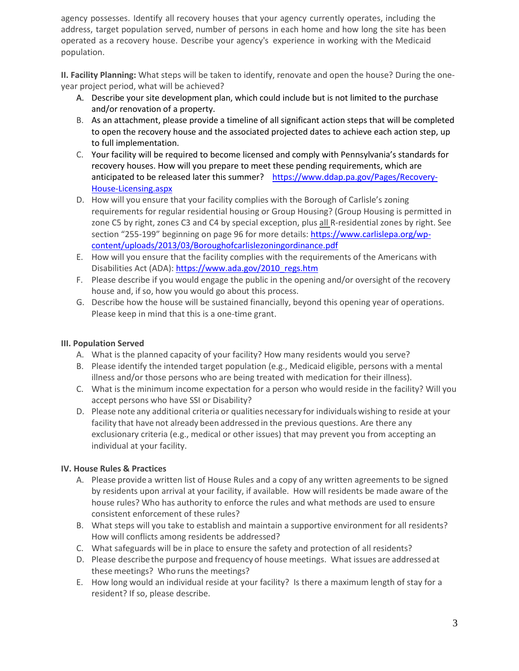agency possesses. Identify all recovery houses that your agency currently operates, including the address, target population served, number of persons in each home and how long the site has been operated as a recovery house. Describe your agency's experience in working with the Medicaid population.

**II. Facility Planning:** What steps will be taken to identify, renovate and open the house? During the oneyear project period, what will be achieved?

- A. Describe your site development plan, which could include but is not limited to the purchase and/or renovation of a property.
- B. As an attachment, please provide a timeline of all significant action steps that will be completed to open the recovery house and the associated projected dates to achieve each action step, up to full implementation.
- C. Your facility will be required to become licensed and comply with Pennsylvania's standards for recovery houses. How will you prepare to meet these pending requirements, which are anticipated to be released later this summer? [https://www.ddap.pa.gov/Pages/Recovery-](https://www.ddap.pa.gov/Pages/Recovery-House-Licensing.aspx)[House-Licensing.aspx](https://www.ddap.pa.gov/Pages/Recovery-House-Licensing.aspx)
- D. How will you ensure that your facility complies with the Borough of Carlisle's zoning requirements for regular residential housing or Group Housing? (Group Housing is permitted in zone C5 by right, zones C3 and C4 by special exception, plus all R-residential zones by right. See section "255-199" beginning on page 96 for more details: [https://www.carlislepa.org/wp](https://www.carlislepa.org/wp-content/uploads/2013/03/Boroughofcarlislezoningordinance.pdf)[content/uploads/2013/03/Boroughofcarlislezoningordinance.pdf](https://www.carlislepa.org/wp-content/uploads/2013/03/Boroughofcarlislezoningordinance.pdf)
- E. How will you ensure that the facility complies with the requirements of the Americans with Disabilities Act (ADA)[: https://www.ada.gov/2010\\_regs.htm](https://www.ada.gov/2010_regs.htm)
- F. Please describe if you would engage the public in the opening and/or oversight of the recovery house and, if so, how you would go about this process.
- G. Describe how the house will be sustained financially, beyond this opening year of operations. Please keep in mind that this is a one-time grant.

#### **III. Population Served**

- A. What is the planned capacity of your facility? How many residents would you serve?
- B. Please identify the intended target population (e.g., Medicaid eligible, persons with a mental illness and/or those persons who are being treated with medication for their illness).
- C. What is the minimum income expectation for a person who would reside in the facility? Will you accept persons who have SSI or Disability?
- D. Please note any additional criteria or qualities necessary for individuals wishing to reside at your facility that have not already been addressed in the previous questions. Are there any exclusionary criteria (e.g., medical or other issues) that may prevent you from accepting an individual at your facility.

#### **IV. House Rules & Practices**

- A. Please provide a written list of House Rules and a copy of any written agreements to be signed by residents upon arrival at your facility, if available. How will residents be made aware of the house rules? Who has authority to enforce the rules and what methods are used to ensure consistent enforcement of these rules?
- B. What steps will you take to establish and maintain a supportive environment for all residents? How will conflicts among residents be addressed?
- C. What safeguards will be in place to ensure the safety and protection of all residents?
- D. Please describe the purpose and frequency of house meetings. What issues are addressed at these meetings? Who runs the meetings?
- E. How long would an individual reside at your facility? Is there a maximum length of stay for a resident? If so, please describe.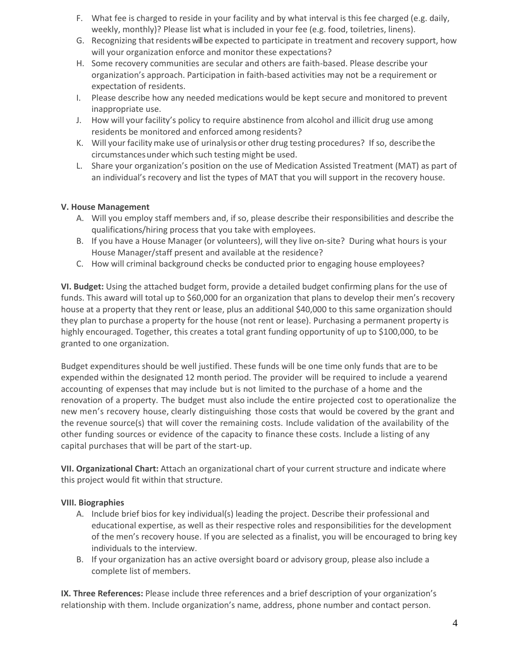- F. What fee is charged to reside in your facility and by what interval is this fee charged (e.g. daily, weekly, monthly)? Please list what is included in your fee (e.g. food, toiletries, linens).
- G. Recognizing that residents will be expected to participate in treatment and recovery support, how will your organization enforce and monitor these expectations?
- H. Some recovery communities are secular and others are faith-based. Please describe your organization's approach. Participation in faith-based activities may not be a requirement or expectation of residents.
- I. Please describe how any needed medications would be kept secure and monitored to prevent inappropriate use.
- J. How will your facility's policy to require abstinence from alcohol and illicit drug use among residents be monitored and enforced among residents?
- K. Will your facilitymake use of urinalysisor other drug testing procedures? If so, describe the circumstancesunder which such testing might be used.
- L. Share your organization's position on the use of Medication Assisted Treatment (MAT) as part of an individual's recovery and list the types of MAT that you will support in the recovery house.

#### **V. House Management**

- A. Will you employ staff members and, if so, please describe their responsibilities and describe the qualifications/hiring process that you take with employees.
- B. If you have a House Manager (or volunteers), will they live on-site? During what hours is your House Manager/staff present and available at the residence?
- C. How will criminal background checks be conducted prior to engaging house employees?

**VI. Budget:** Using the attached budget form, provide a detailed budget confirming plans for the use of funds. This award will total up to \$60,000 for an organization that plans to develop their men's recovery house at a property that they rent or lease, plus an additional \$40,000 to this same organization should they plan to purchase a property for the house (not rent or lease). Purchasing a permanent property is highly encouraged. Together, this creates a total grant funding opportunity of up to \$100,000, to be granted to one organization.

Budget expenditures should be well justified. These funds will be one time only funds that are to be expended within the designated 12 month period. The provider will be required to include a yearend accounting of expenses that may include but is not limited to the purchase of a home and the renovation of a property. The budget must also include the entire projected cost to operationalize the new men's recovery house, clearly distinguishing those costs that would be covered by the grant and the revenue source(s) that will cover the remaining costs. Include validation of the availability of the other funding sources or evidence of the capacity to finance these costs. Include a listing of any capital purchases that will be part of the start-up.

**VII. Organizational Chart:** Attach an organizational chart of your current structure and indicate where this project would fit within that structure.

#### **VIII. Biographies**

- A. Include brief bios for key individual(s) leading the project. Describe their professional and educational expertise, as well as their respective roles and responsibilities for the development of the men's recovery house. If you are selected as a finalist, you will be encouraged to bring key individuals to the interview.
- B. If your organization has an active oversight board or advisory group, please also include a complete list of members.

**IX. Three References:** Please include three references and a brief description of your organization's relationship with them. Include organization's name, address, phone number and contact person.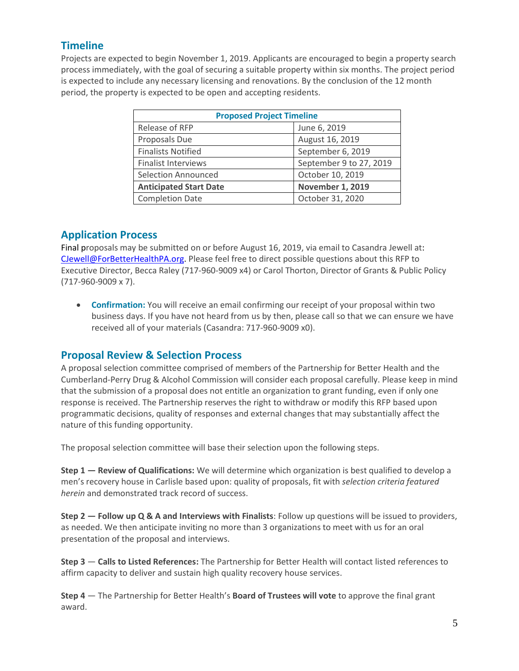## **Timeline**

Projects are expected to begin November 1, 2019. Applicants are encouraged to begin a property search process immediately, with the goal of securing a suitable property within six months. The project period is expected to include any necessary licensing and renovations. By the conclusion of the 12 month period, the property is expected to be open and accepting residents.

| <b>Proposed Project Timeline</b> |                         |  |
|----------------------------------|-------------------------|--|
| Release of RFP                   | June 6, 2019            |  |
| Proposals Due                    | August 16, 2019         |  |
| <b>Finalists Notified</b>        | September 6, 2019       |  |
| <b>Finalist Interviews</b>       | September 9 to 27, 2019 |  |
| <b>Selection Announced</b>       | October 10, 2019        |  |
| <b>Anticipated Start Date</b>    | <b>November 1, 2019</b> |  |
| <b>Completion Date</b>           | October 31, 2020        |  |

### **Application Process**

Final proposals may be submitted on or before August 16, 2019, via email to Casandra Jewell at: [CJewell@ForBetterHealthPA.org.](mailto:CJewell@ForBetterHealthPA.org) Please feel free to direct possible questions about this RFP to Executive Director, Becca Raley (717-960-9009 x4) or Carol Thorton, Director of Grants & Public Policy (717-960-9009 x 7).

 **Confirmation:** You will receive an email confirming our receipt of your proposal within two business days. If you have not heard from us by then, please call so that we can ensure we have received all of your materials (Casandra: 717-960-9009 x0).

## **Proposal Review & Selection Process**

A proposal selection committee comprised of members of the Partnership for Better Health and the Cumberland-Perry Drug & Alcohol Commission will consider each proposal carefully. Please keep in mind that the submission of a proposal does not entitle an organization to grant funding, even if only one response is received. The Partnership reserves the right to withdraw or modify this RFP based upon programmatic decisions, quality of responses and external changes that may substantially affect the nature of this funding opportunity.

The proposal selection committee will base their selection upon the following steps.

**Step 1 — Review of Qualifications:** We will determine which organization is best qualified to develop a men's recovery house in Carlisle based upon: quality of proposals, fit with *selection criteria featured herein* and demonstrated track record of success.

**Step 2 — Follow up Q & A and Interviews with Finalists**: Follow up questions will be issued to providers, as needed. We then anticipate inviting no more than 3 organizations to meet with us for an oral presentation of the proposal and interviews.

**Step 3** — **Calls to Listed References:** The Partnership for Better Health will contact listed references to affirm capacity to deliver and sustain high quality recovery house services.

**Step 4** — The Partnership for Better Health's **Board of Trustees will vote** to approve the final grant award.